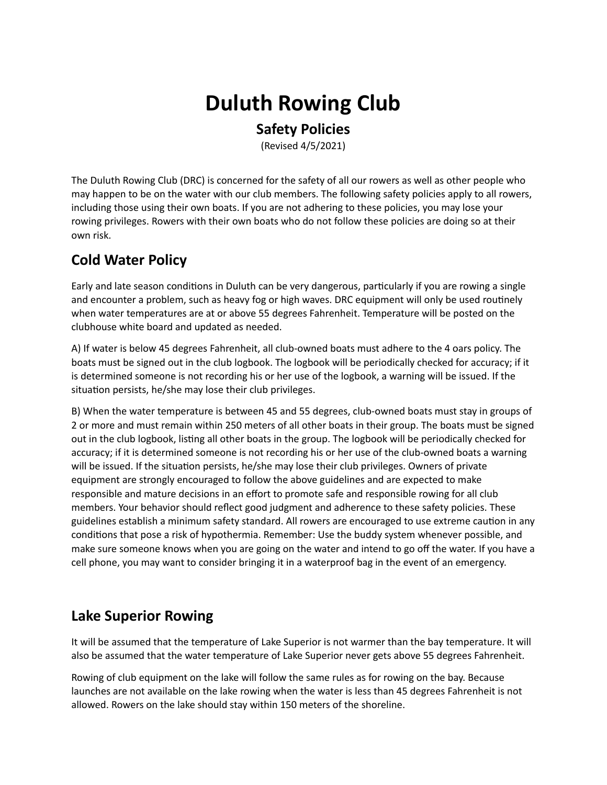# **Duluth Rowing Club**

#### **Safety Policies**

(Revised 4/5/2021)

The Duluth Rowing Club (DRC) is concerned for the safety of all our rowers as well as other people who may happen to be on the water with our club members. The following safety policies apply to all rowers, including those using their own boats. If you are not adhering to these policies, you may lose your rowing privileges. Rowers with their own boats who do not follow these policies are doing so at their own risk.

#### **Cold Water Policy**

Early and late season conditions in Duluth can be very dangerous, particularly if you are rowing a single and encounter a problem, such as heavy fog or high waves. DRC equipment will only be used routinely when water temperatures are at or above 55 degrees Fahrenheit. Temperature will be posted on the clubhouse white board and updated as needed.

A) If water is below 45 degrees Fahrenheit, all club-owned boats must adhere to the 4 oars policy. The boats must be signed out in the club logbook. The logbook will be periodically checked for accuracy; if it is determined someone is not recording his or her use of the logbook, a warning will be issued. If the situation persists, he/she may lose their club privileges.

B) When the water temperature is between 45 and 55 degrees, club-owned boats must stay in groups of 2 or more and must remain within 250 meters of all other boats in their group. The boats must be signed out in the club logbook, listing all other boats in the group. The logbook will be periodically checked for accuracy; if it is determined someone is not recording his or her use of the club-owned boats a warning will be issued. If the situation persists, he/she may lose their club privileges. Owners of private equipment are strongly encouraged to follow the above guidelines and are expected to make responsible and mature decisions in an effort to promote safe and responsible rowing for all club members. Your behavior should reflect good judgment and adherence to these safety policies. These guidelines establish a minimum safety standard. All rowers are encouraged to use extreme caution in any conditions that pose a risk of hypothermia. Remember: Use the buddy system whenever possible, and make sure someone knows when you are going on the water and intend to go off the water. If you have a cell phone, you may want to consider bringing it in a waterproof bag in the event of an emergency.

# **Lake Superior Rowing**

It will be assumed that the temperature of Lake Superior is not warmer than the bay temperature. It will also be assumed that the water temperature of Lake Superior never gets above 55 degrees Fahrenheit.

Rowing of club equipment on the lake will follow the same rules as for rowing on the bay. Because launches are not available on the lake rowing when the water is less than 45 degrees Fahrenheit is not allowed. Rowers on the lake should stay within 150 meters of the shoreline.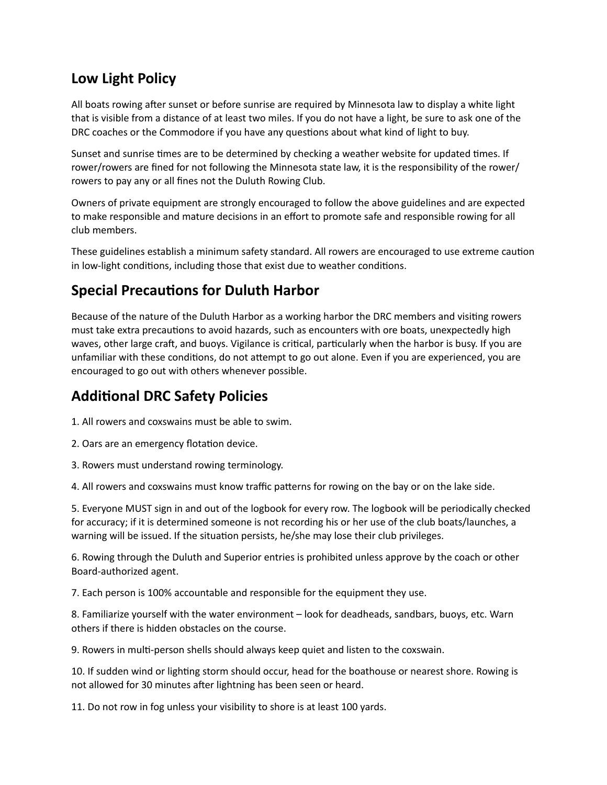#### **Low Light Policy**

All boats rowing after sunset or before sunrise are required by Minnesota law to display a white light that is visible from a distance of at least two miles. If you do not have a light, be sure to ask one of the DRC coaches or the Commodore if you have any questions about what kind of light to buy.

Sunset and sunrise times are to be determined by checking a weather website for updated times. If rower/rowers are fined for not following the Minnesota state law, it is the responsibility of the rower/ rowers to pay any or all fines not the Duluth Rowing Club.

Owners of private equipment are strongly encouraged to follow the above guidelines and are expected to make responsible and mature decisions in an effort to promote safe and responsible rowing for all club members.

These guidelines establish a minimum safety standard. All rowers are encouraged to use extreme caution in low-light conditions, including those that exist due to weather conditions.

# **Special Precautions for Duluth Harbor**

Because of the nature of the Duluth Harbor as a working harbor the DRC members and visiting rowers must take extra precautions to avoid hazards, such as encounters with ore boats, unexpectedly high waves, other large craft, and buoys. Vigilance is critical, particularly when the harbor is busy. If you are unfamiliar with these conditions, do not attempt to go out alone. Even if you are experienced, you are encouraged to go out with others whenever possible.

### **Additional DRC Safety Policies**

1. All rowers and coxswains must be able to swim.

- 2. Oars are an emergency flotation device.
- 3. Rowers must understand rowing terminology.

4. All rowers and coxswains must know traffic patterns for rowing on the bay or on the lake side.

5. Everyone MUST sign in and out of the logbook for every row. The logbook will be periodically checked for accuracy; if it is determined someone is not recording his or her use of the club boats/launches, a warning will be issued. If the situation persists, he/she may lose their club privileges.

6. Rowing through the Duluth and Superior entries is prohibited unless approve by the coach or other Board-authorized agent.

7. Each person is 100% accountable and responsible for the equipment they use.

8. Familiarize yourself with the water environment – look for deadheads, sandbars, buoys, etc. Warn others if there is hidden obstacles on the course.

9. Rowers in multi-person shells should always keep quiet and listen to the coxswain.

10. If sudden wind or lighting storm should occur, head for the boathouse or nearest shore. Rowing is not allowed for 30 minutes after lightning has been seen or heard.

11. Do not row in fog unless your visibility to shore is at least 100 yards.